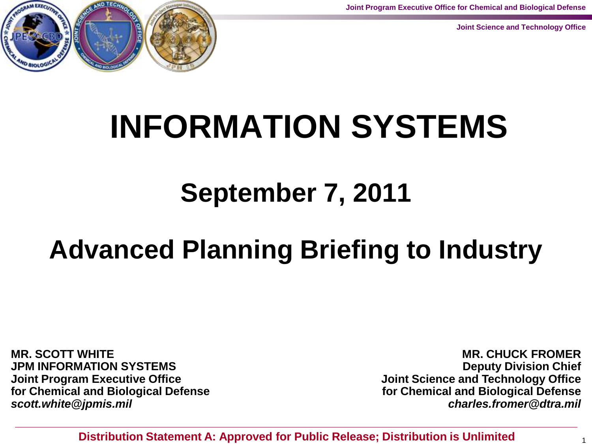**Joint Program Executive Office for Chemical and Biological Defense**

**Joint Science and Technology Office**



# **INFORMATION SYSTEMS**

# **September 7, 2011**

# **Advanced Planning Briefing to Industry**

**MR. SCOTT WHITE JPM INFORMATION SYSTEMS Joint Program Executive Office for Chemical and Biological Defense** *scott.white@jpmis.mil*

**MR. CHUCK FROMER Deputy Division Chief Joint Science and Technology Office for Chemical and Biological Defense** *charles.fromer@dtra.mil*

**Distribution Statement A: Approved for Public Release; Distribution is Unlimited**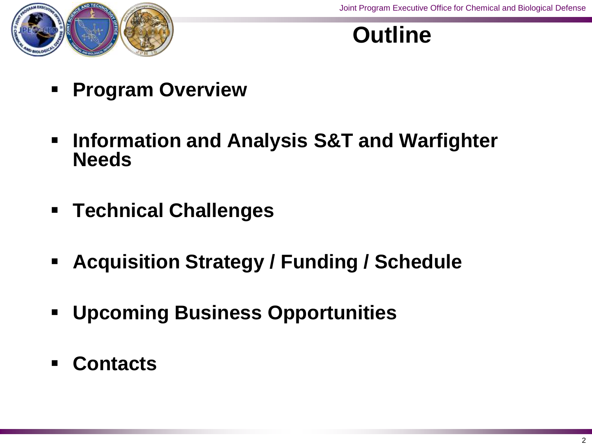

#### **Outline**

- **Program Overview**
- **Information and Analysis S&T and Warfighter Needs**
- **Technical Challenges**
- **Acquisition Strategy / Funding / Schedule**
- **Upcoming Business Opportunities**
- **Contacts**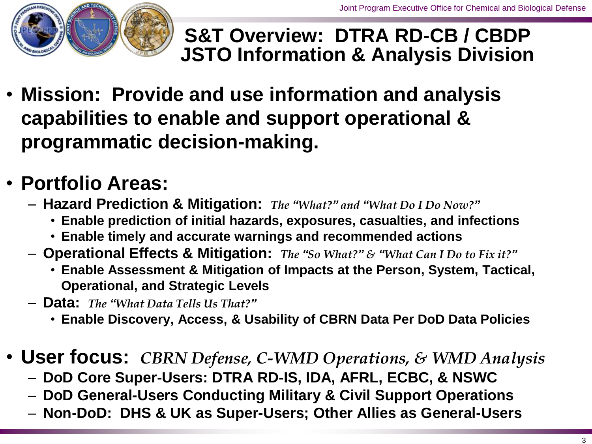

#### **S&T Overview: DTRA RD-CB / CBDP JSTO Information & Analysis Division**

• **Mission: Provide and use information and analysis capabilities to enable and support operational & programmatic decision-making.**

#### • **Portfolio Areas:**

- **Hazard Prediction & Mitigation:** *The "What?" and "What Do I Do Now?"*
	- **Enable prediction of initial hazards, exposures, casualties, and infections**
	- **Enable timely and accurate warnings and recommended actions**
- **Operational Effects & Mitigation:** *The "So What?" & "What Can I Do to Fix it?"*
	- **Enable Assessment & Mitigation of Impacts at the Person, System, Tactical, Operational, and Strategic Levels**
- **Data:** *The "What Data Tells Us That?"*
	- **Enable Discovery, Access, & Usability of CBRN Data Per DoD Data Policies**
- **User focus:** *CBRN Defense, C-WMD Operations, & WMD Analysis*
	- **DoD Core Super-Users: DTRA RD-IS, IDA, AFRL, ECBC, & NSWC**
	- **DoD General-Users Conducting Military & Civil Support Operations**
	- **Non-DoD: DHS & UK as Super-Users; Other Allies as General-Users**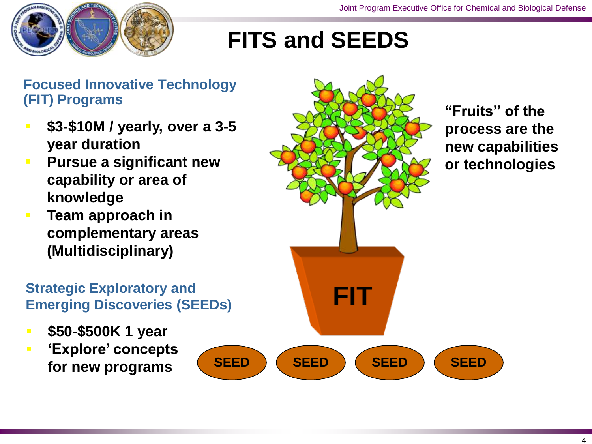

# **FITS and SEEDS**

#### **Focused Innovative Technology (FIT) Programs**

- **\$3-\$10M / yearly, over a 3-5 year duration**
- **Pursue a significant new capability or area of knowledge**
- **Team approach in complementary areas (Multidisciplinary)**

# **FIT Strategic Exploratory and Emerging Discoveries (SEEDs)**

- **\$50-\$500K 1 year**
- **"Explore" concepts for new programs**

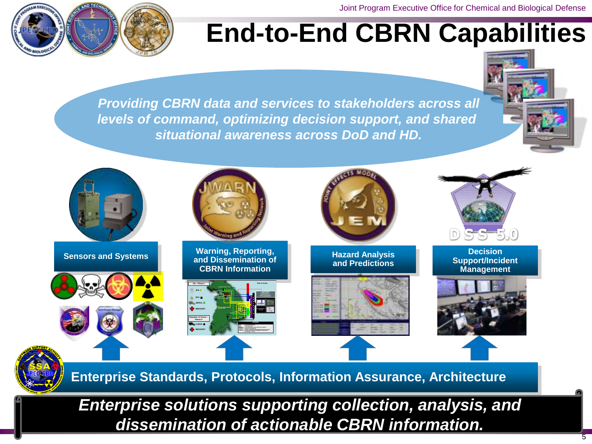Joint Program Executive Office for Chemical and Biological Defense



**1101110 1101001 1100110 1101001 1100011 1100101 1101110 11101 111010 111010 111010 111010 11101 1101 1100001 1100111 1101110 1101001 1100 001 1100011 1100101 1101110 1110100 10 1100001 1110011 1110100 1100001 110011 110001 110001 110001 110001 101 1100001 1100111 111**

# **End-to-End CBRN Capabilities**

*Providing CBRN data and services to stakeholders across all levels of command, optimizing decision support, and shared situational awareness across DoD and HD.*





**Enterprise Standards, Protocols, Information Assurance, Architecture** 

*Enterprise solutions supporting collection, analysis, and dissemination of actionable CBRN information.*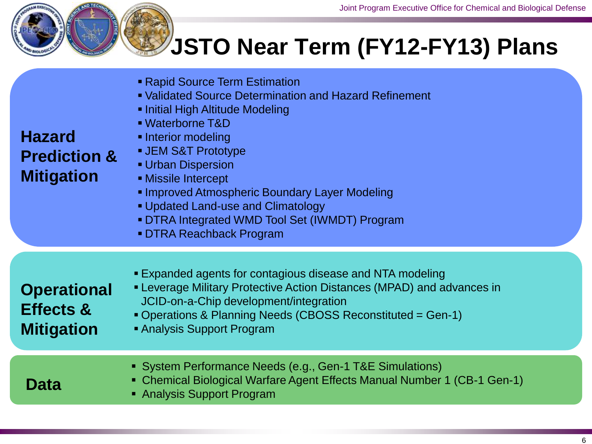

# **JSTO Near Term (FY12-FY13) Plans**

| <b>Hazard</b><br><b>Prediction &amp;</b><br><b>Mitigation</b> | <b>Rapid Source Term Estimation</b><br>• Validated Source Determination and Hazard Refinement<br>Initial High Altitude Modeling<br>• Waterborne T&D<br>• Interior modeling<br><b>JEM S&amp;T Prototype</b><br><b>Urban Dispersion</b><br><b>Missile Intercept</b><br><b>Improved Atmospheric Boundary Layer Modeling</b><br>• Updated Land-use and Climatology<br>• DTRA Integrated WMD Tool Set (IWMDT) Program<br><b>DTRA Reachback Program</b> |
|---------------------------------------------------------------|---------------------------------------------------------------------------------------------------------------------------------------------------------------------------------------------------------------------------------------------------------------------------------------------------------------------------------------------------------------------------------------------------------------------------------------------------|
| <b>Operational</b><br>Effects &<br><b>Mitigation</b>          | ■ Expanded agents for contagious disease and NTA modeling<br>• Leverage Military Protective Action Distances (MPAD) and advances in<br>JCID-on-a-Chip development/integration<br>Operations & Planning Needs (CBOSS Reconstituted = Gen-1)<br>• Analysis Support Program                                                                                                                                                                          |
| Data                                                          | • System Performance Needs (e.g., Gen-1 T&E Simulations)<br>• Chemical Biological Warfare Agent Effects Manual Number 1 (CB-1 Gen-1)<br>• Analysis Support Program                                                                                                                                                                                                                                                                                |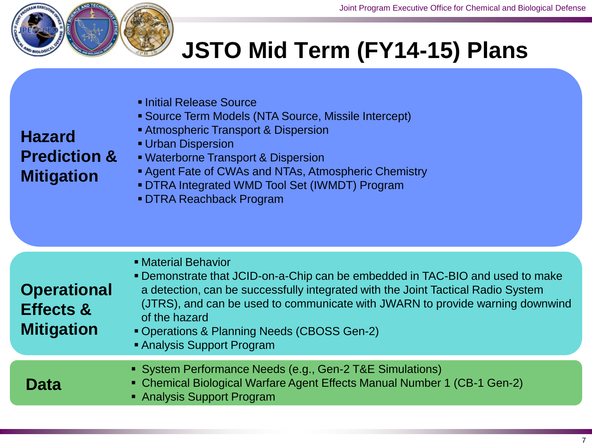

**Hazard** 

**Mitigation**

# **JSTO Mid Term (FY14-15) Plans**

- **Initial Release Source**
- Source Term Models (NTA Source, Missile Intercept)
- **Atmospheric Transport & Dispersion**

#### **Urban Dispersion Prediction &**

- Waterborne Transport & Dispersion
- Agent Fate of CWAs and NTAs, Atmospheric Chemistry
- DTRA Integrated WMD Tool Set (IWMDT) Program
- DTRA Reachback Program

| <b>Operational</b><br><b>Effects &amp;</b><br><b>Mitigation</b> | • Material Behavior<br>• Demonstrate that JCID-on-a-Chip can be embedded in TAC-BIO and used to make<br>a detection, can be successfully integrated with the Joint Tactical Radio System<br>(JTRS), and can be used to communicate with JWARN to provide warning downwind<br>of the hazard<br>• Operations & Planning Needs (CBOSS Gen-2)<br>• Analysis Support Program |  |  |  |  |
|-----------------------------------------------------------------|-------------------------------------------------------------------------------------------------------------------------------------------------------------------------------------------------------------------------------------------------------------------------------------------------------------------------------------------------------------------------|--|--|--|--|
| <b>Data</b>                                                     | • System Performance Needs (e.g., Gen-2 T&E Simulations)<br>• Chemical Biological Warfare Agent Effects Manual Number 1 (CB-1 Gen-2)<br>• Analysis Support Program                                                                                                                                                                                                      |  |  |  |  |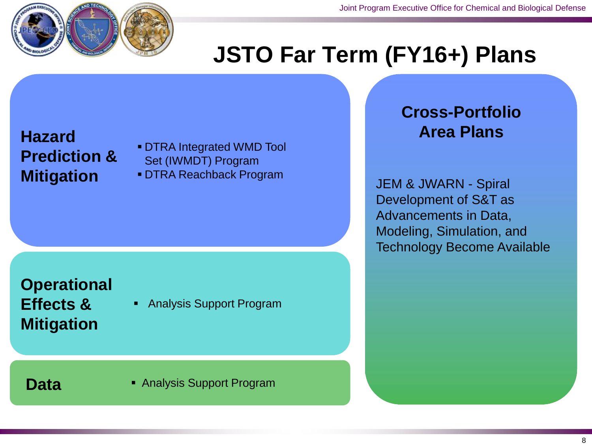

### **JSTO Far Term (FY16+) Plans**

## **Hazard Prediction &**

 DTRA Integrated WMD Tool Set (IWMDT) Program

**Mitigation** • DTRA Reachback Program<br> **Mitigation** • DTRA Reachback Program<br>
JEM & JWARN - Spiral

#### **Operational Effects &**

**Mitigation**

Analysis Support Program

**Data Analysis Support Program** 

#### **Cross-Portfolio Area Plans**

Development of S&T as Advancements in Data, Modeling, Simulation, and Technology Become Available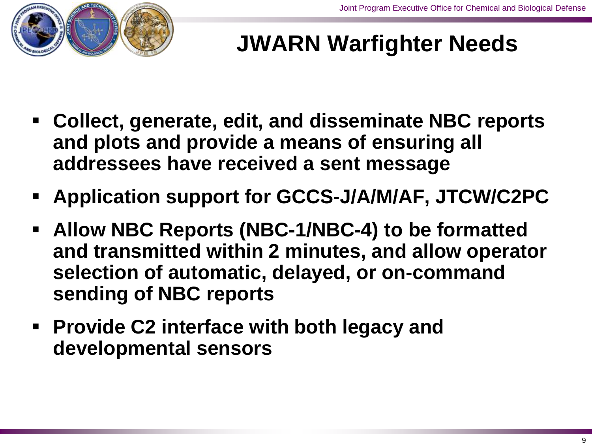

# **JWARN Warfighter Needs**

- **Collect, generate, edit, and disseminate NBC reports and plots and provide a means of ensuring all addressees have received a sent message**
- **Application support for GCCS-J/A/M/AF, JTCW/C2PC**
- **Allow NBC Reports (NBC-1/NBC-4) to be formatted and transmitted within 2 minutes, and allow operator selection of automatic, delayed, or on-command sending of NBC reports**
- **Provide C2 interface with both legacy and developmental sensors**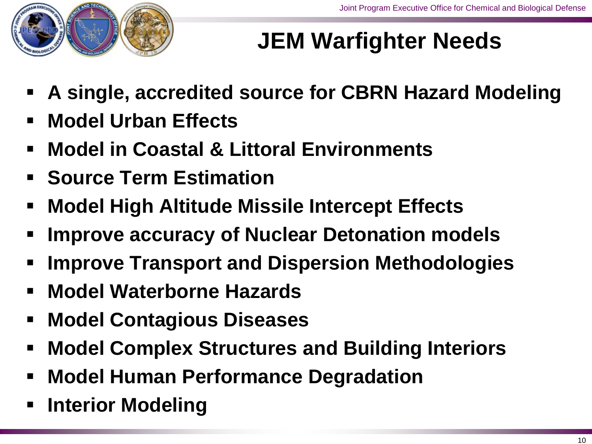

# **JEM Warfighter Needs**

- **A single, accredited source for CBRN Hazard Modeling**
- **Model Urban Effects**
- **Model in Coastal & Littoral Environments**
- **Source Term Estimation**
- **Model High Altitude Missile Intercept Effects**
- **Improve accuracy of Nuclear Detonation models**
- **Improve Transport and Dispersion Methodologies**
- **Model Waterborne Hazards**
- **Model Contagious Diseases**
- **Model Complex Structures and Building Interiors**
- **Model Human Performance Degradation**
- **Interior Modeling**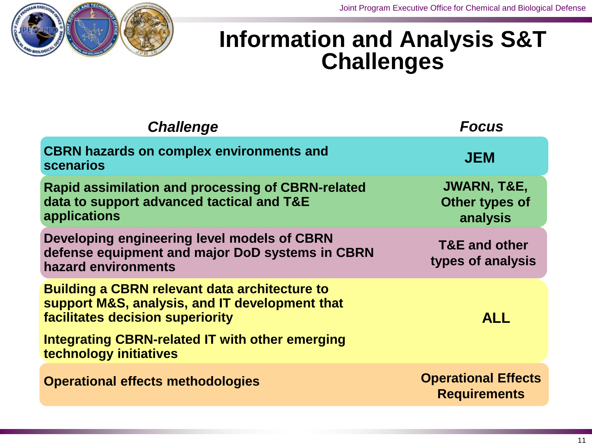

#### **Information and Analysis S&T Challenges**

| <b>Challenge</b>                                                                                                                           | <b>Focus</b>                                         |
|--------------------------------------------------------------------------------------------------------------------------------------------|------------------------------------------------------|
| <b>CBRN hazards on complex environments and</b><br><b>scenarios</b>                                                                        | <b>JEM</b>                                           |
| <b>Rapid assimilation and processing of CBRN-related</b><br>data to support advanced tactical and T&E<br>applications                      | <b>JWARN, T&amp;E,</b><br>Other types of<br>analysis |
| Developing engineering level models of CBRN<br>defense equipment and major DoD systems in CBRN<br>hazard environments                      | <b>T&amp;E and other</b><br>types of analysis        |
| <b>Building a CBRN relevant data architecture to</b><br>support M&S, analysis, and IT development that<br>facilitates decision superiority | <b>ALL</b>                                           |
| Integrating CBRN-related IT with other emerging<br>technology initiatives                                                                  |                                                      |
| <b>Operational effects methodologies</b>                                                                                                   | <b>Operational Effects</b><br><b>Requirements</b>    |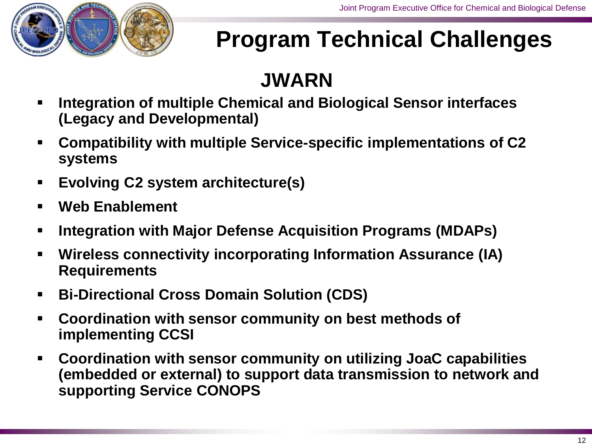

# **Program Technical Challenges**

#### **JWARN**

- **Integration of multiple Chemical and Biological Sensor interfaces (Legacy and Developmental)**
- **Compatibility with multiple Service-specific implementations of C2 systems**
- **Evolving C2 system architecture(s)**
- **Web Enablement**
- **Integration with Major Defense Acquisition Programs (MDAPs)**
- **Wireless connectivity incorporating Information Assurance (IA) Requirements**
- **Bi-Directional Cross Domain Solution (CDS)**
- **Coordination with sensor community on best methods of implementing CCSI**
- **Coordination with sensor community on utilizing JoaC capabilities (embedded or external) to support data transmission to network and supporting Service CONOPS**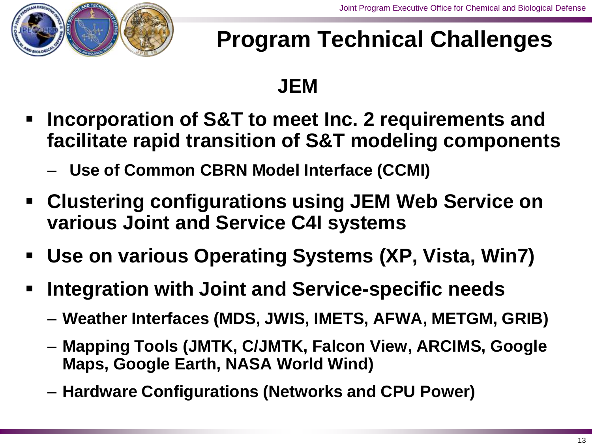

# **Program Technical Challenges**

#### **JEM**

- **Incorporation of S&T to meet Inc. 2 requirements and facilitate rapid transition of S&T modeling components**
	- **Use of Common CBRN Model Interface (CCMI)**
- **Clustering configurations using JEM Web Service on various Joint and Service C4I systems**
- **Use on various Operating Systems (XP, Vista, Win7)**
- **Integration with Joint and Service-specific needs**
	- **Weather Interfaces (MDS, JWIS, IMETS, AFWA, METGM, GRIB)**
	- **Mapping Tools (JMTK, C/JMTK, Falcon View, ARCIMS, Google Maps, Google Earth, NASA World Wind)**
	- **Hardware Configurations (Networks and CPU Power)**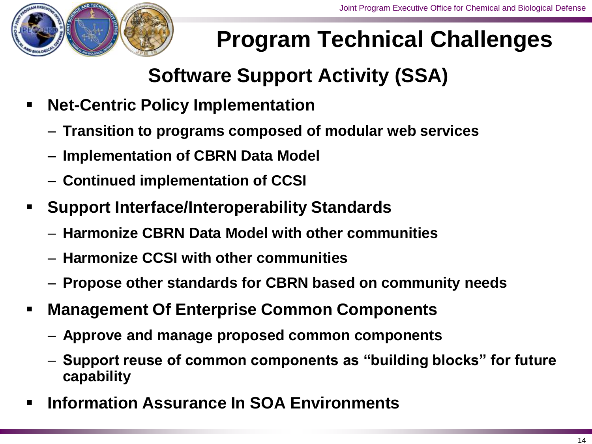

# **Program Technical Challenges**

#### **Software Support Activity (SSA)**

- **Net-Centric Policy Implementation**
	- **Transition to programs composed of modular web services**
	- **Implementation of CBRN Data Model**
	- **Continued implementation of CCSI**
- **Support Interface/Interoperability Standards**
	- **Harmonize CBRN Data Model with other communities**
	- **Harmonize CCSI with other communities**
	- **Propose other standards for CBRN based on community needs**
- **Management Of Enterprise Common Components**
	- **Approve and manage proposed common components**
	- **Support reuse of common components as "building blocks" for future capability**
- **Information Assurance In SOA Environments**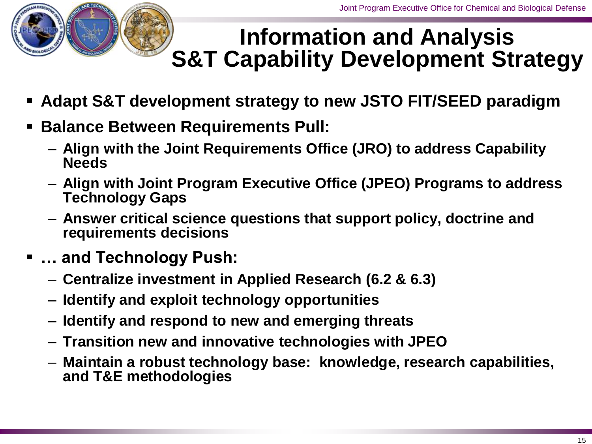

#### **Information and Analysis S&T Capability Development Strategy**

- **Adapt S&T development strategy to new JSTO FIT/SEED paradigm**
- **Balance Between Requirements Pull:** 
	- **Align with the Joint Requirements Office (JRO) to address Capability Needs**
	- **Align with Joint Program Executive Office (JPEO) Programs to address Technology Gaps**
	- **Answer critical science questions that support policy, doctrine and requirements decisions**
- **… and Technology Push:**
	- **Centralize investment in Applied Research (6.2 & 6.3)**
	- **Identify and exploit technology opportunities**
	- **Identify and respond to new and emerging threats**
	- **Transition new and innovative technologies with JPEO**
	- **Maintain a robust technology base: knowledge, research capabilities, and T&E methodologies**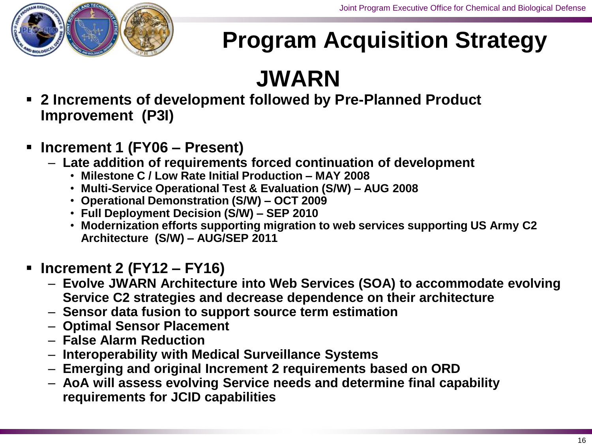

# **Program Acquisition Strategy**

# **JWARN**

- **2 Increments of development followed by Pre-Planned Product Improvement (P3I)**
- **Increment 1 (FY06 – Present)**
	- **Late addition of requirements forced continuation of development**
		- **Milestone C / Low Rate Initial Production – MAY 2008**
		- **Multi-Service Operational Test & Evaluation (S/W) – AUG 2008**
		- **Operational Demonstration (S/W) – OCT 2009**
		- **Full Deployment Decision (S/W) – SEP 2010**
		- **Modernization efforts supporting migration to web services supporting US Army C2 Architecture (S/W) – AUG/SEP 2011**
- **Increment 2 (FY12 – FY16)**
	- **Evolve JWARN Architecture into Web Services (SOA) to accommodate evolving Service C2 strategies and decrease dependence on their architecture**
	- **Sensor data fusion to support source term estimation**
	- **Optimal Sensor Placement**
	- **False Alarm Reduction**
	- **Interoperability with Medical Surveillance Systems**
	- **Emerging and original Increment 2 requirements based on ORD**
	- **AoA will assess evolving Service needs and determine final capability requirements for JCID capabilities**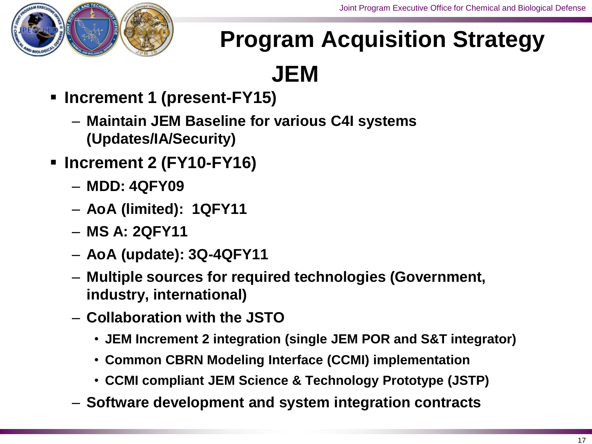

# **Program Acquisition Strategy**

**JEM**

- **Increment 1 (present-FY15)**
	- **Maintain JEM Baseline for various C4I systems (Updates/IA/Security)**
- **Increment 2 (FY10-FY16)**
	- **MDD: 4QFY09**
	- **AoA (limited): 1QFY11**
	- **MS A: 2QFY11**
	- **AoA (update): 3Q-4QFY11**
	- **Multiple sources for required technologies (Government, industry, international)**
	- **Collaboration with the JSTO**
		- **JEM Increment 2 integration (single JEM POR and S&T integrator)**
		- **Common CBRN Modeling Interface (CCMI) implementation**
		- **CCMI compliant JEM Science & Technology Prototype (JSTP)**
	- **Software development and system integration contracts**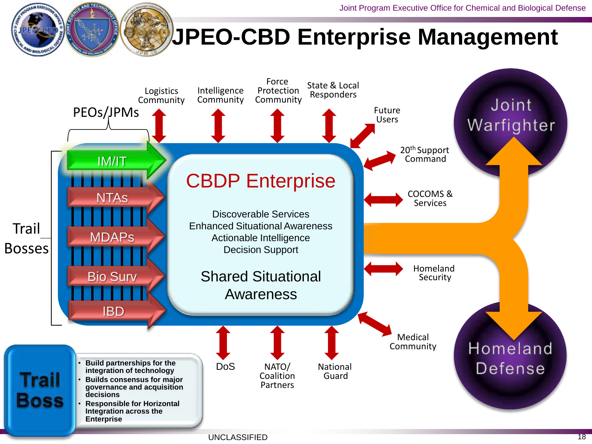## **JPEO-CBD Enterprise Management**

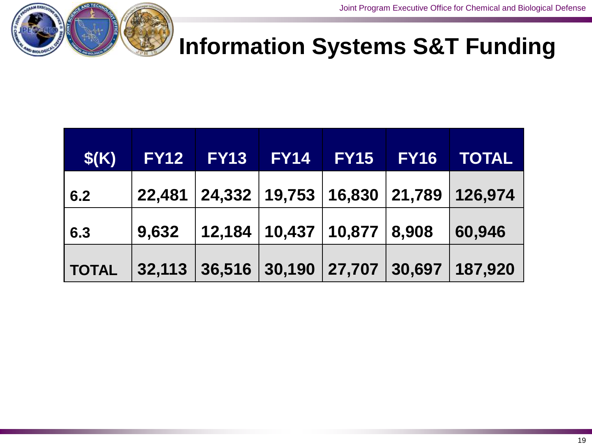

#### **Information Systems S&T Funding**

| \$(K)        | <b>FY12 FY13</b>                         | <b>FY14</b> | <b>FY15 FY16</b> | <b>TOTAL</b>                               |
|--------------|------------------------------------------|-------------|------------------|--------------------------------------------|
| 6.2          |                                          |             |                  | 22,481 24,332 19,753 16,830 21,789 126,974 |
| 6.3          | 9,632   12,184   10,437   10,877   8,908 |             |                  | 60,946                                     |
| <b>TOTAL</b> |                                          |             |                  | 32,113 36,516 30,190 27,707 30,697 187,920 |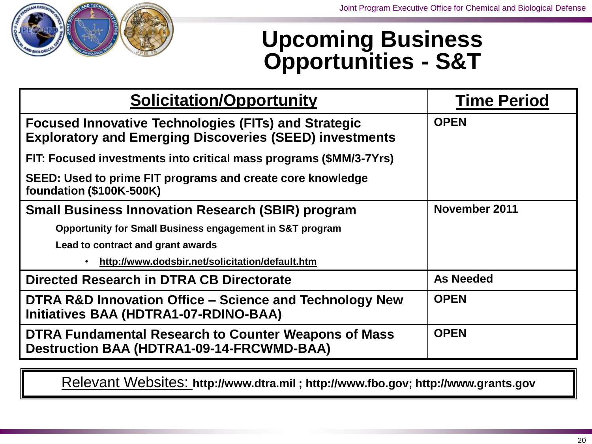

#### **Upcoming Business Opportunities - S&T**

| <b>Solicitation/Opportunity</b>                                                                                               | <b>Time Period</b> |
|-------------------------------------------------------------------------------------------------------------------------------|--------------------|
| <b>Focused Innovative Technologies (FITs) and Strategic</b><br><b>Exploratory and Emerging Discoveries (SEED) investments</b> | <b>OPEN</b>        |
| FIT: Focused investments into critical mass programs (\$MM/3-7Yrs)                                                            |                    |
| SEED: Used to prime FIT programs and create core knowledge<br><b>foundation (\$100K-500K)</b>                                 |                    |
| <b>Small Business Innovation Research (SBIR) program</b>                                                                      | November 2011      |
| Opportunity for Small Business engagement in S&T program                                                                      |                    |
| Lead to contract and grant awards                                                                                             |                    |
| http://www.dodsbir.net/solicitation/default.htm                                                                               |                    |
| Directed Research in DTRA CB Directorate                                                                                      | <b>As Needed</b>   |
| DTRA R&D Innovation Office – Science and Technology New<br>Initiatives BAA (HDTRA1-07-RDINO-BAA)                              | <b>OPEN</b>        |
| DTRA Fundamental Research to Counter Weapons of Mass<br><b>Destruction BAA (HDTRA1-09-14-FRCWMD-BAA)</b>                      | <b>OPEN</b>        |

Relevant Websites: **http://www.dtra.mil ; http://www.fbo.gov; http://www.grants.gov**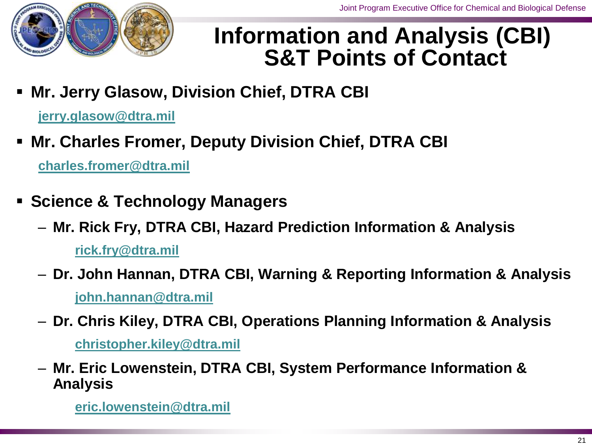

#### **Information and Analysis (CBI) S&T Points of Contact**

**Mr. Jerry Glasow, Division Chief, DTRA CBI**

**jerry.glasow@dtra.mil**

**Mr. Charles Fromer, Deputy Division Chief, DTRA CBI** 

**charles.fromer@dtra.mil**

- **Science & Technology Managers**
	- **Mr. Rick Fry, DTRA CBI, Hazard Prediction Information & Analysis rick.fry@dtra.mil**
	- **Dr. John Hannan, DTRA CBI, Warning & Reporting Information & Analysis john.hannan@dtra.mi[l](mailto:rick.fry@dtra.mil)**
	- **Dr. Chris Kiley, DTRA CBI, Operations Planning Information & Analysis**

**christopher.kiley@dtra.mi[l](mailto:rick.fry@dtra.mil)**

– **Mr. Eric Lowenstein, DTRA CBI, System Performance Information & Analysis** 

**eric.lowenstein@dtra.mi[l](mailto:rick.fry@dtra.mil)**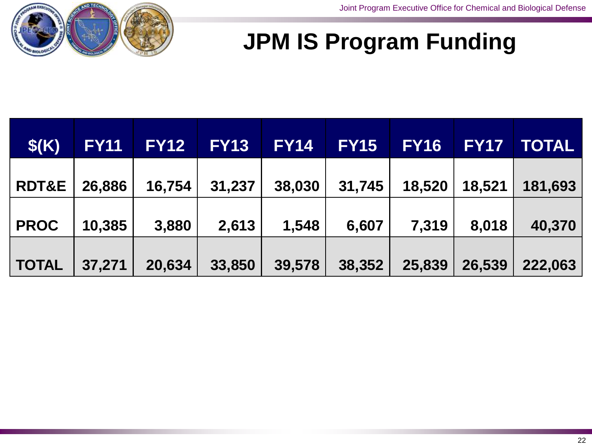

#### **JPM IS Program Funding**

| \$(K)            | <b>FY11</b> | <b>FY12</b> | <b>FY13</b> | <b>FY14</b> | <b>FY15</b> | <b>FY16</b> | <b>FY17</b> | <b>TOTAL</b> |
|------------------|-------------|-------------|-------------|-------------|-------------|-------------|-------------|--------------|
| <b>RDT&amp;E</b> | 26,886      | 16,754      | 31,237      | 38,030      | 31,745      | 18,520      | 18,521      | 181,693      |
| <b>PROC</b>      | 10,385      | 3,880       | 2,613       | 1,548       | 6,607       | 7,319       | 8,018       | 40,370       |
| <b>TOTAL</b>     | 37,271      | 20,634      | 33,850      | 39,578      | 38,352      | 25,839      | 26,539      | 222,063      |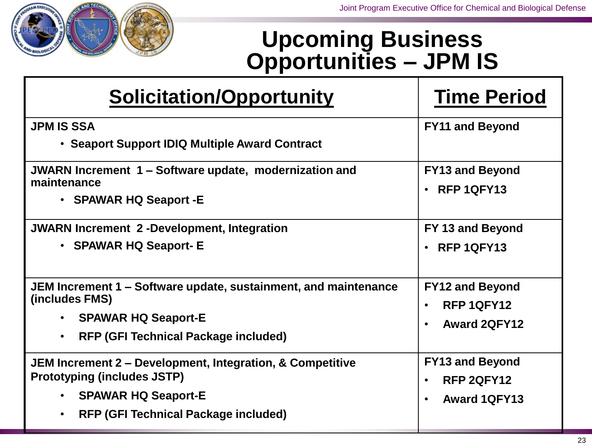

#### **Upcoming Business Opportunities – JPM IS**

| Solicitation/Opportunity                                                                                                                                                                               | <b>Time Period</b>                                                                    |  |  |
|--------------------------------------------------------------------------------------------------------------------------------------------------------------------------------------------------------|---------------------------------------------------------------------------------------|--|--|
| <b>JPM IS SSA</b><br>• Seaport Support IDIQ Multiple Award Contract                                                                                                                                    | <b>FY11 and Beyond</b>                                                                |  |  |
| JWARN Increment 1 – Software update, modernization and<br>maintenance<br>• SPAWAR HQ Seaport - E                                                                                                       | <b>FY13 and Beyond</b><br>$\cdot$ RFP 1QFY13                                          |  |  |
| <b>JWARN Increment 2-Development, Integration</b><br>• SPAWAR HQ Seaport- E                                                                                                                            | FY 13 and Beyond<br>$\cdot$ RFP 1QFY13                                                |  |  |
| JEM Increment 1 – Software update, sustainment, and maintenance<br>(includes FMS)<br><b>SPAWAR HQ Seaport-E</b><br>$\bullet$<br><b>RFP (GFI Technical Package included)</b><br>$\bullet$               | <b>FY12 and Beyond</b><br>RFP 1QFY12<br>$\bullet$<br><b>Award 2QFY12</b><br>$\bullet$ |  |  |
| JEM Increment 2 – Development, Integration, & Competitive<br><b>Prototyping (includes JSTP)</b><br><b>SPAWAR HQ Seaport-E</b><br>$\bullet$<br><b>RFP (GFI Technical Package included)</b><br>$\bullet$ | <b>FY13 and Beyond</b><br>RFP 2QFY12<br>$\bullet$<br><b>Award 1QFY13</b><br>$\bullet$ |  |  |